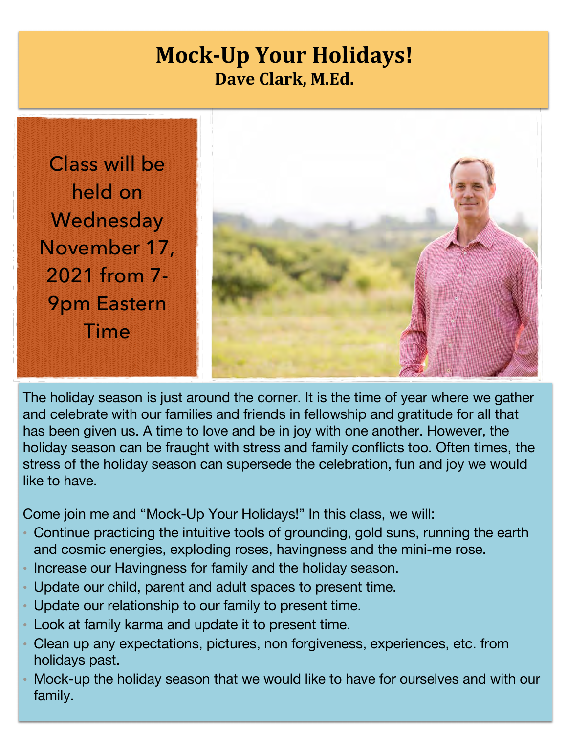## **Mock-Up Your Holidays! Dave Clark, M.Ed.**

Class will be held on **Wednesday** November 17, 2021 from 7- 9pm Eastern Time



The holiday season is just around the corner. It is the time of year where we gather and celebrate with our families and friends in fellowship and gratitude for all that has been given us. A time to love and be in joy with one another. However, the holiday season can be fraught with stress and family conflicts too. Often times, the stress of the holiday season can supersede the celebration, fun and joy we would like to have.

Come join me and "Mock-Up Your Holidays!" In this class, we will:

- ! Continue practicing the intuitive tools of grounding, gold suns, running the earth and cosmic energies, exploding roses, havingness and the mini-me rose.
- Increase our Havingness for family and the holiday season.
- ! Update our child, parent and adult spaces to present time.
- ! Update our relationship to our family to present time.
- ! Look at family karma and update it to present time.
- ! Clean up any expectations, pictures, non forgiveness, experiences, etc. from holidays past.
- ! Mock-up the holiday season that we would like to have for ourselves and with our family.